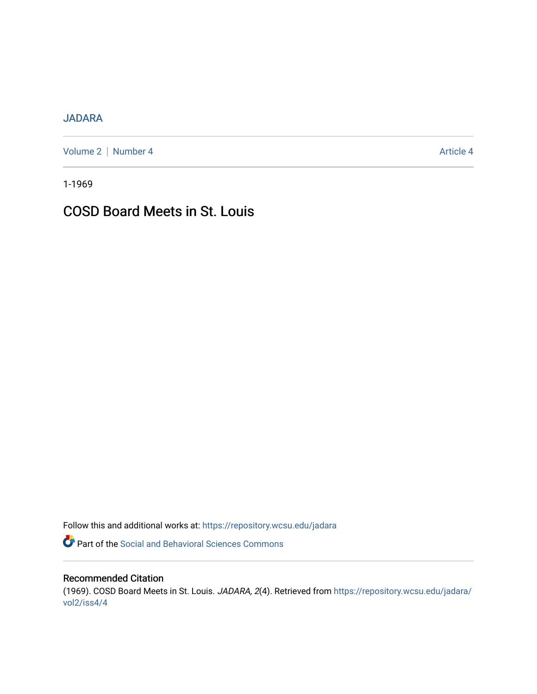# [JADARA](https://repository.wcsu.edu/jadara)

[Volume 2](https://repository.wcsu.edu/jadara/vol2) | [Number 4](https://repository.wcsu.edu/jadara/vol2/iss4) Article 4

1-1969

# COSD Board Meets in St. Louis

Follow this and additional works at: [https://repository.wcsu.edu/jadara](https://repository.wcsu.edu/jadara?utm_source=repository.wcsu.edu%2Fjadara%2Fvol2%2Fiss4%2F4&utm_medium=PDF&utm_campaign=PDFCoverPages)

Part of the [Social and Behavioral Sciences Commons](http://network.bepress.com/hgg/discipline/316?utm_source=repository.wcsu.edu%2Fjadara%2Fvol2%2Fiss4%2F4&utm_medium=PDF&utm_campaign=PDFCoverPages) 

# Recommended Citation

(1969). COSD Board Meets in St. Louis. JADARA, 2(4). Retrieved from [https://repository.wcsu.edu/jadara/](https://repository.wcsu.edu/jadara/vol2/iss4/4?utm_source=repository.wcsu.edu%2Fjadara%2Fvol2%2Fiss4%2F4&utm_medium=PDF&utm_campaign=PDFCoverPages) [vol2/iss4/4](https://repository.wcsu.edu/jadara/vol2/iss4/4?utm_source=repository.wcsu.edu%2Fjadara%2Fvol2%2Fiss4%2F4&utm_medium=PDF&utm_campaign=PDFCoverPages)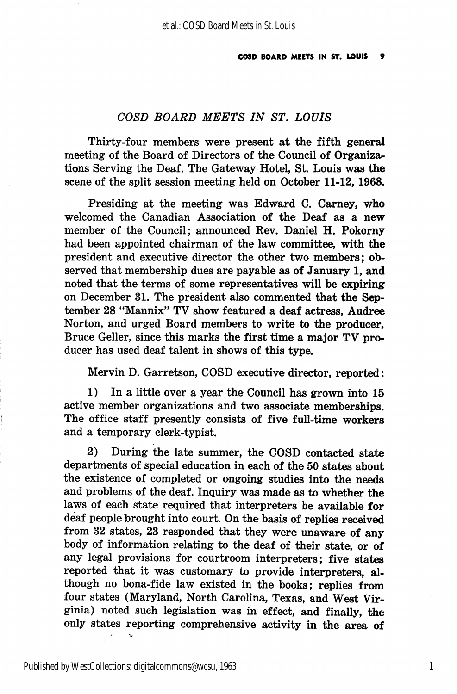### COSD BOARD MEETS IN ST. LOUIS

Thirty-four members were present at the fifth general meeting of the Board of Directors of the Council of Organiza^ tions Serving the Deaf. The Gateway Hotel, St. Louis was the scene of the split session meeting held on October 11-12, 1968.

Presiding at the meeting was Edward C. Carney, who welcomed the Canadian Association of the Deaf as a new member of the Council; announced Rev. Daniel H. Pokorny had been appointed chairman of the law committee, with the president and executive director the other two members; ob served that membership dues are payable as of January 1, and noted that the terms of some representatives will be expiring on December 31. The president also commented that the Sep tember 28 "Mannix" TV show featured a deaf actress, Audree Norton, and urged Board members to write to the producer, Bruce Geller, since this marks the first time a major TV pro ducer has used deaf talent in shows of this type.

Mervin D. Garretson, COSD executive director, reported:

1) In a little over a year the Council has grown into 15 active member organizations and two associate memberships. The office staff presently consists of five full-time workers and a temporary clerk-typist.

2) During the late summer, the COSD contacted state departments of special education in each of the 50 states about the existence of completed or ongoing studies into the needs and problems of the deaf. Inquiry was made as to whether the laws of each state required that interpreters be available for deaf people brought into court. On the basis of replies received from 82 states, 28 responded that they were unaware of any body of information relating to the deaf of their state, or of any legal provisions for courtroom interpreters; five states reported that it was customary to provide interpreters, al though no bona-fide law existed in the books; replies from four states (Maryland, North Carolina, Texas, and West Vir ginia) noted such legislation was in effect, and finally, the only states reporting comprehensive activity in the area of

1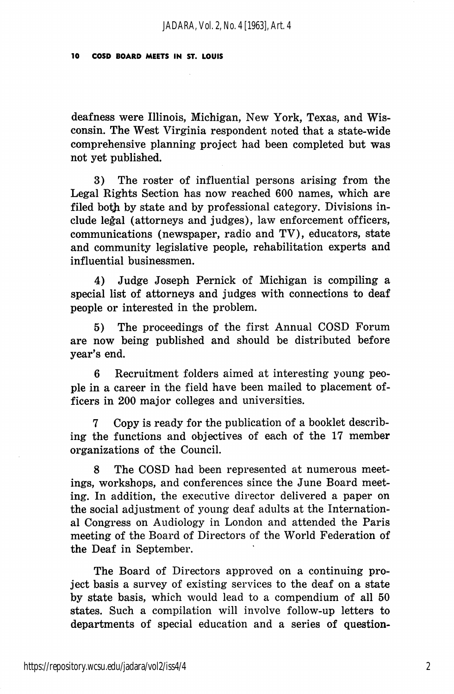deafness were Illinois, Michigan, New York, Texas, and Wis consin. The West Virginia respondent noted that a state-wide comprehensive planning project had been completed but was not yet published.

3) The roster of influential persons arising from the Legal Rights Section has now reached 600 names, which are filed both by state and by professional category. Divisions in clude legal (attorneys and judges), law enforcement officers, communications (newspaper, radio and TV), educators, state and community legislative people, rehabilitation experts and influential businessmen.

4) Judge Joseph Pernick of Michigan is compiling a special list of attorneys and judges with connections to deaf people or interested in the problem.

5) The proceedings of the first Annual COSD Forum are now being published and should be distributed before year's end.

6 Recruitment folders aimed at interesting young peo ple in a career in the field have been mailed to placement of ficers in 200 major colleges and universities.

7 Copy is ready for the publication of a booklet describ ing the functions and objectives of each of the 17 member organizations of the Council.

8 The COSD had been represented at numerous meet ings, workshops, and conferences since the June Board meet ing. In addition, the executive director delivered a paper on the social adjustment of young deaf adults at the Internation al Congress on Audiology in London and attended the Paris meeting of the Board of Directors of the World Federation of the Deaf in September.

The Board of Directors approved on a continuing pro ject basis a survey of existing services to the deaf on a state by state basis, which would lead to a compendium of all 50 states. Such a compilation will involve follow-up letters to departments of special education and a series of question-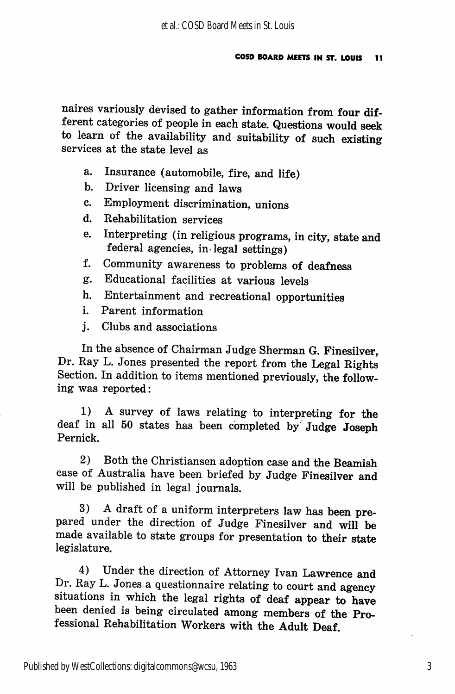naires variously devised to gather information from four dif ferent categories of people in each state. Questions would seek to learn of the availability and suitability of such existing services at the state level as

- a. Insurance (automobile, fire, and life)
- b. Driver licensing and laws
- c. Employment discrimination, unions
- d. Rehabilitation services
- e. Interpreting (in religious programs, in city, state and federal agencies, in-legal settings)
- f. Community awareness to problems of deafness
- g. Educational facilities at various levels
- h. Entertainment and recreational opportunities
- i. Parent information
- j. Clubs and associations

In the absence of Chairman Judge Sherman G. Finesilver, Dr. Ray L. Jones presented the report from the Legal Rights Section. In addition to items mentioned previously, the follow ing was reported:

1) A survey of laws relating to interpreting for the deaf in all 50 states has been completed by" Judge Joseph Pernick.

2) Both the Christiansen adoption case and the Beamish case of Australia have been briefed by Judge Finesilver and will be published in legal journals.

3) A draft of a uniform interpreters law has been pre pared under the direction of Judge Finesilver and will be made available to state groups for presentation to their state legislature.

4) Under the direction of Attorney Ivan Lawrence and Dr. Ray L. Jones a questionnaire relating to court and agency situations in which the legal rights of deaf appear to have been denied is being circulated among members of the Pro fessional Rehabilitation Workers with the Adult Deaf.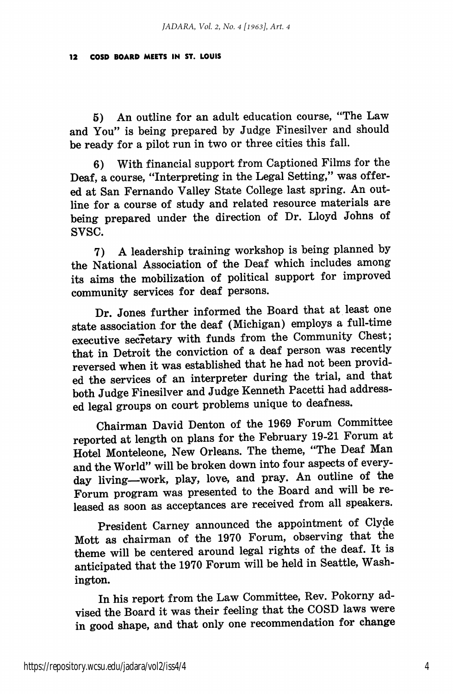5) An outline for an adult education course, "The Law and You" is being prepared by Judge Finesilver and should be ready for a pilot run in two or three cities this fall.

6) With financial support from Captioned Films for the Deaf, a course, "Interpreting in the Legal Setting," was offer ed at San Fernando Valley State College last spring. An out line for a course of study and related resource materials are being prepared under the direction of Dr. Lloyd Johns of svsc.

7) A leadership training workshop is being planned by the National Association of the Deaf which includes among its aims the mobilization of political support for improved community services for deaf persons.

Dr. Jones further informed the Board that at least one state association for the deaf (Michigan) employs a full-time executive secretary with funds from the Community Chest; that in Detroit the conviction of a deaf person was recently reversed when it was established that he had not been provid ed the services of an interpreter during the trial, and that both Judge Finesilver and Judge Kenneth Pacetti had address ed legal groups on court problems unique to deafness.

Chairman David Denton of the 1969 Forum Committee reported at length on plans for the February 19-21 Forum at Hotel Monteleone, New Orleans. The theme, "The Deaf Man and the World" will be broken down into four aspects of every day living—work, play, love, and pray. An outline of the Forum program was presented to the Board and will be re leased as soon as acceptances are received from all speakers.

President Carney announced the appointment of Clyde Mott as chairman of the 1970 Forum, observing that the theme will be centered around legal rights of the deaf. It is anticipated that the 1970 Forum will be held in Seattle, Wash ington.

In his report from the Law Committee, Rev. Pokorny ad vised the Board it was their feeling that the COSD laws were in good shape, and that only one recommendation for change